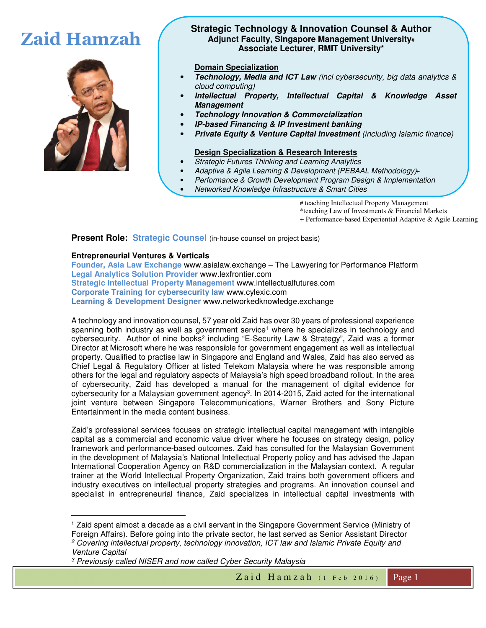

# **Zaid Hamzah Strategic Technology & Innovation Counsel & Author**<br>**Adjunct Faculty, Singapore Management University# Adjunct Faculty, Singapore Management University**# **Associate Lecturer, RMIT University\***

# **Domain Specialization**

- **Technology, Media and ICT Law** *(incl cybersecurity, big data analytics & cloud computing)*
- **Intellectual Property, Intellectual Capital & Knowledge Asset Management**
- **Technology Innovation & Commercialization**
- **IP-based Financing & IP Investment banking**
- **Private Equity & Venture Capital Investment** *(including Islamic finance)*

#### **Design Specialization & Research Interests**

- *Strategic Futures Thinking and Learning Analytics*
- Adaptive & Agile Learning & Development (PEBAAL Methodology)+
- *Performance & Growth Development Program Design & Implementation*
- *Networked Knowledge Infrastructure & Smart Cities*

# teaching Intellectual Property Management

\*teaching Law of Investments & Financial Markets

+ Performance-based Experiential Adaptive & Agile Learning

**Present Role: Strategic Counsel** (in-house counsel on project basis)

# **Entrepreneurial Ventures & Verticals**

**Founder, Asia Law Exchange** www.asialaw.exchange – The Lawyering for Performance Platform **Legal Analytics Solution Provider** www.lexfrontier.com **Strategic Intellectual Property Management** www.intellectualfutures.com **Corporate Training for cybersecurity law** www.cylexic.com **Learning & Development Designer** www.networkedknowledge.exchange

A technology and innovation counsel, 57 year old Zaid has over 30 years of professional experience spanning both industry as well as government service<sup>1</sup> where he specializes in technology and cybersecurity. Author of nine books<sup>2</sup> including "E-Security Law & Strategy", Zaid was a former Director at Microsoft where he was responsible for government engagement as well as intellectual property. Qualified to practise law in Singapore and England and Wales, Zaid has also served as Chief Legal & Regulatory Officer at listed Telekom Malaysia where he was responsible among others for the legal and regulatory aspects of Malaysia's high speed broadband rollout. In the area of cybersecurity, Zaid has developed a manual for the management of digital evidence for cybersecurity for a Malaysian government agency<sup>3</sup>. In 2014-2015, Zaid acted for the international joint venture between Singapore Telecommunications, Warner Brothers and Sony Picture Entertainment in the media content business.

Zaid's professional services focuses on strategic intellectual capital management with intangible capital as a commercial and economic value driver where he focuses on strategy design, policy framework and performance-based outcomes. Zaid has consulted for the Malaysian Government in the development of Malaysia's National Intellectual Property policy and has advised the Japan International Cooperation Agency on R&D commercialization in the Malaysian context. A regular trainer at the World Intellectual Property Organization, Zaid trains both government officers and industry executives on intellectual property strategies and programs. An innovation counsel and specialist in entrepreneurial finance, Zaid specializes in intellectual capital investments with

-1 Zaid spent almost a decade as a civil servant in the Singapore Government Service (Ministry of Foreign Affairs). Before going into the private sector, he last served as Senior Assistant Director <sup>2</sup> Covering intellectual property, technology innovation, ICT law and Islamic Private Equity and *Venture Capital* 

*<sup>3</sup> Previously called NISER and now called Cyber Security Malaysia*